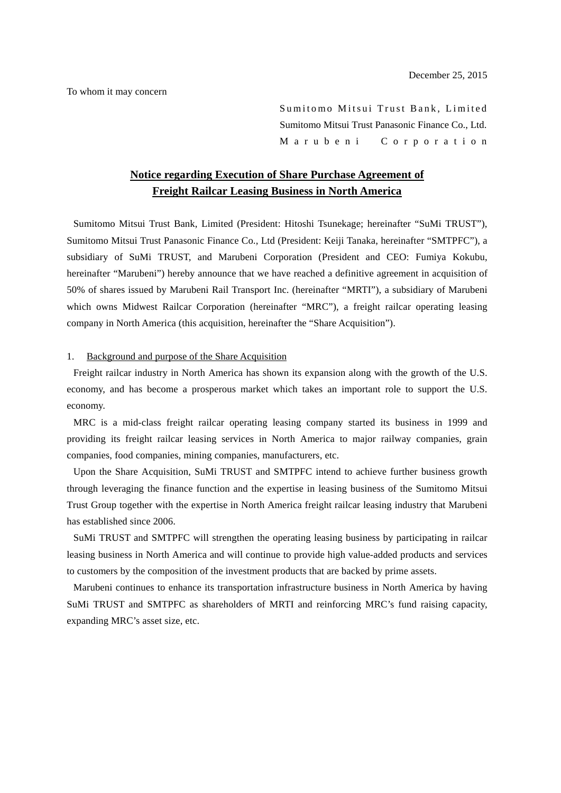To whom it may concern

Sumitomo Mitsui Trust Bank, Limited Sumitomo Mitsui Trust Panasonic Finance Co., Ltd. M a r u b e n i C o r p o r a t i o n

# **Notice regarding Execution of Share Purchase Agreement of Freight Railcar Leasing Business in North America**

Sumitomo Mitsui Trust Bank, Limited (President: Hitoshi Tsunekage; hereinafter "SuMi TRUST"), Sumitomo Mitsui Trust Panasonic Finance Co., Ltd (President: Keiji Tanaka, hereinafter "SMTPFC"), a subsidiary of SuMi TRUST, and Marubeni Corporation (President and CEO: Fumiya Kokubu, hereinafter "Marubeni") hereby announce that we have reached a definitive agreement in acquisition of 50% of shares issued by Marubeni Rail Transport Inc. (hereinafter "MRTI"), a subsidiary of Marubeni which owns Midwest Railcar Corporation (hereinafter "MRC"), a freight railcar operating leasing company in North America (this acquisition, hereinafter the "Share Acquisition").

#### 1. Background and purpose of the Share Acquisition

Freight railcar industry in North America has shown its expansion along with the growth of the U.S. economy, and has become a prosperous market which takes an important role to support the U.S. economy.

MRC is a mid-class freight railcar operating leasing company started its business in 1999 and providing its freight railcar leasing services in North America to major railway companies, grain companies, food companies, mining companies, manufacturers, etc.

Upon the Share Acquisition, SuMi TRUST and SMTPFC intend to achieve further business growth through leveraging the finance function and the expertise in leasing business of the Sumitomo Mitsui Trust Group together with the expertise in North America freight railcar leasing industry that Marubeni has established since 2006.

SuMi TRUST and SMTPFC will strengthen the operating leasing business by participating in railcar leasing business in North America and will continue to provide high value-added products and services to customers by the composition of the investment products that are backed by prime assets.

Marubeni continues to enhance its transportation infrastructure business in North America by having SuMi TRUST and SMTPFC as shareholders of MRTI and reinforcing MRC's fund raising capacity, expanding MRC's asset size, etc.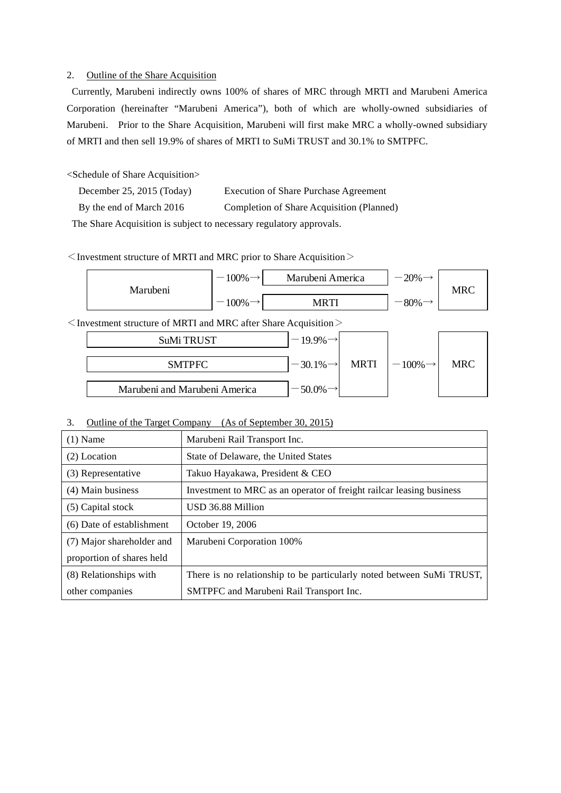#### 2. Outline of the Share Acquisition

 Currently, Marubeni indirectly owns 100% of shares of MRC through MRTI and Marubeni America Corporation (hereinafter "Marubeni America"), both of which are wholly-owned subsidiaries of Marubeni. Prior to the Share Acquisition, Marubeni will first make MRC a wholly-owned subsidiary of MRTI and then sell 19.9% of shares of MRTI to SuMi TRUST and 30.1% to SMTPFC.

<Schedule of Share Acquisition>

- December 25, 2015 (Today) Execution of Share Purchase Agreement
- By the end of March 2016 Completion of Share Acquisition (Planned)

The Share Acquisition is subject to necessary regulatory approvals.

 $\leq$  Investment structure of MRTI and MRC prior to Share Acquisition  $\geq$ 

|                                                                            | Marubeni | $100\% \rightarrow$ | Marubeni America | $-20\% \rightarrow$ |     |  |  |
|----------------------------------------------------------------------------|----------|---------------------|------------------|---------------------|-----|--|--|
|                                                                            |          | $100\% \rightarrow$ | MRTI             | $-80\% \rightarrow$ | MRC |  |  |
| $\leq$ Investment structure of MRTI and MRC after Share Acquisition $\geq$ |          |                     |                  |                     |     |  |  |

| SuMi TRUST                    | $-19.9\%$               |             |                      |            |
|-------------------------------|-------------------------|-------------|----------------------|------------|
| <b>SMTPFC</b>                 | $-30.1\%$ $\rightarrow$ | <b>MRTI</b> | $-100\% \rightarrow$ | <b>MRC</b> |
| Marubeni and Marubeni America | 50.0%                   |             |                      |            |

### 3. Outline of the Target Company (As of September 30, 2015)

| $(1)$ Name                | Marubeni Rail Transport Inc.                                          |
|---------------------------|-----------------------------------------------------------------------|
| (2) Location              | State of Delaware, the United States                                  |
| (3) Representative        | Takuo Hayakawa, President & CEO                                       |
| (4) Main business         | Investment to MRC as an operator of freight railcar leasing business  |
| (5) Capital stock         | USD 36.88 Million                                                     |
| (6) Date of establishment | October 19, 2006                                                      |
| (7) Major shareholder and | Marubeni Corporation 100%                                             |
| proportion of shares held |                                                                       |
| (8) Relationships with    | There is no relationship to be particularly noted between SuMi TRUST, |
| other companies           | SMTPFC and Marubeni Rail Transport Inc.                               |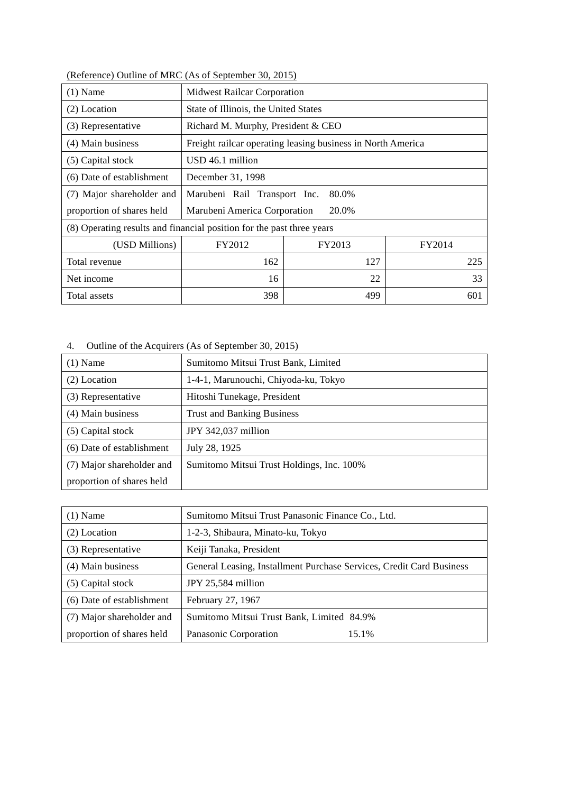| $(1)$ Name                                                            | <b>Midwest Railcar Corporation</b>                          |        |        |  |
|-----------------------------------------------------------------------|-------------------------------------------------------------|--------|--------|--|
| (2) Location                                                          | State of Illinois, the United States                        |        |        |  |
| Richard M. Murphy, President & CEO<br>(3) Representative              |                                                             |        |        |  |
| (4) Main business                                                     | Freight railcar operating leasing business in North America |        |        |  |
| (5) Capital stock                                                     | USD 46.1 million                                            |        |        |  |
| (6) Date of establishment                                             | December 31, 1998                                           |        |        |  |
| (7) Major shareholder and                                             | 80.0%<br>Marubeni Rail Transport Inc.                       |        |        |  |
| proportion of shares held                                             | Marubeni America Corporation<br>20.0%                       |        |        |  |
| (8) Operating results and financial position for the past three years |                                                             |        |        |  |
| (USD Millions)                                                        | FY2012                                                      | FY2013 | FY2014 |  |
| Total revenue                                                         | 162                                                         | 127    | 225    |  |
| Net income                                                            | 16                                                          | 22     | 33     |  |
| Total assets                                                          | 398                                                         | 499    | 601    |  |

(Reference) Outline of MRC (As of September 30, 2015)

4. Outline of the Acquirers (As of September 30, 2015)

| $(1)$ Name                | Sumitomo Mitsui Trust Bank, Limited       |  |  |
|---------------------------|-------------------------------------------|--|--|
| (2) Location              | 1-4-1, Marunouchi, Chiyoda-ku, Tokyo      |  |  |
| (3) Representative        | Hitoshi Tunekage, President               |  |  |
| (4) Main business         | <b>Trust and Banking Business</b>         |  |  |
| (5) Capital stock         | JPY 342,037 million                       |  |  |
| (6) Date of establishment | July 28, 1925                             |  |  |
| (7) Major shareholder and | Sumitomo Mitsui Trust Holdings, Inc. 100% |  |  |
| proportion of shares held |                                           |  |  |

| $(1)$ Name                | Sumitomo Mitsui Trust Panasonic Finance Co., Ltd.                    |
|---------------------------|----------------------------------------------------------------------|
| (2) Location              | 1-2-3, Shibaura, Minato-ku, Tokyo                                    |
| (3) Representative        | Keiji Tanaka, President                                              |
| (4) Main business         | General Leasing, Installment Purchase Services, Credit Card Business |
| (5) Capital stock         | JPY 25,584 million                                                   |
| (6) Date of establishment | February 27, 1967                                                    |
| (7) Major shareholder and | Sumitomo Mitsui Trust Bank, Limited 84.9%                            |
| proportion of shares held | Panasonic Corporation<br>15.1%                                       |